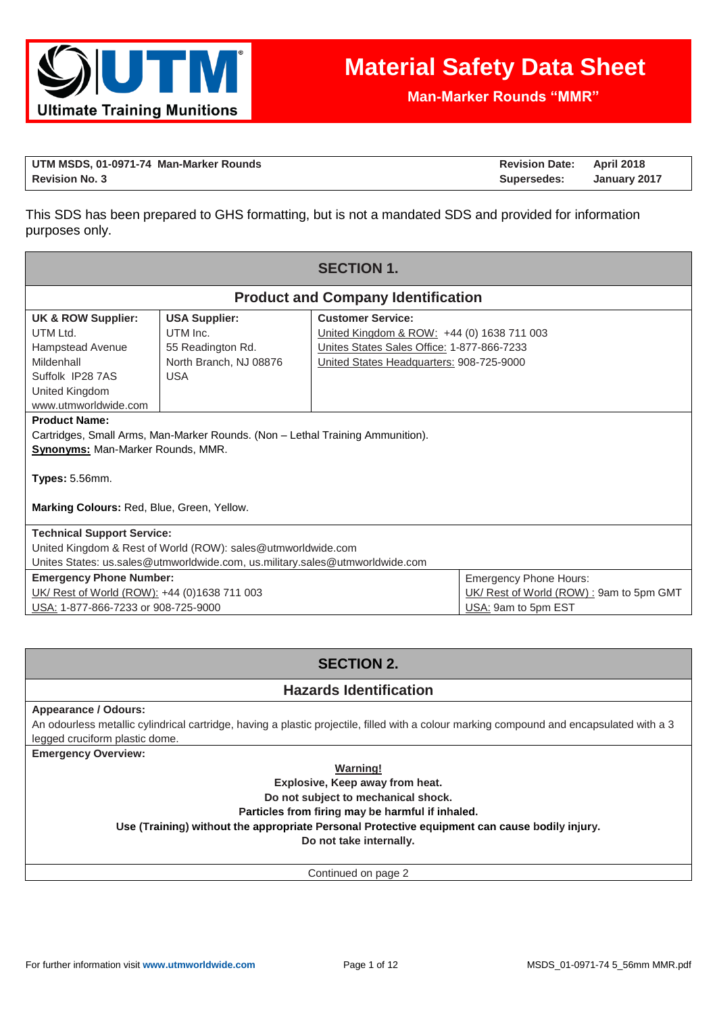

**Man-Marker Rounds "MMR"**

| UTM MSDS, 01-0971-74 Man-Marker Rounds | <b>Revision Date: April 2018</b> |              |
|----------------------------------------|----------------------------------|--------------|
| <b>Revision No. 3</b>                  | Supersedes:                      | January 2017 |

This SDS has been prepared to GHS formatting, but is not a mandated SDS and provided for information purposes only.

| <b>SECTION 1.</b>                                                                                                                                                                                                         |                                                                                               |                                                                                                                                                                  |  |  |  |
|---------------------------------------------------------------------------------------------------------------------------------------------------------------------------------------------------------------------------|-----------------------------------------------------------------------------------------------|------------------------------------------------------------------------------------------------------------------------------------------------------------------|--|--|--|
|                                                                                                                                                                                                                           | <b>Product and Company Identification</b>                                                     |                                                                                                                                                                  |  |  |  |
| UK & ROW Supplier:<br>UTM Ltd.<br>Hampstead Avenue<br>Mildenhall<br>Suffolk IP28 7AS<br>United Kingdom<br>www.utmworldwide.com                                                                                            | <b>USA Supplier:</b><br>UTM Inc.<br>55 Readington Rd.<br>North Branch, NJ 08876<br><b>USA</b> | <b>Customer Service:</b><br>United Kingdom & ROW: +44 (0) 1638 711 003<br>Unites States Sales Office: 1-877-866-7233<br>United States Headquarters: 908-725-9000 |  |  |  |
| <b>Product Name:</b><br>Cartridges, Small Arms, Man-Marker Rounds. (Non – Lethal Training Ammunition).<br><b>Synonyms: Man-Marker Rounds, MMR.</b><br>Types: 5.56mm.                                                      |                                                                                               |                                                                                                                                                                  |  |  |  |
| Marking Colours: Red, Blue, Green, Yellow.                                                                                                                                                                                |                                                                                               |                                                                                                                                                                  |  |  |  |
| <b>Technical Support Service:</b><br>United Kingdom & Rest of World (ROW): sales@utmworldwide.com<br>Unites States: us.sales@utmworldwide.com, us.military.sales@utmworldwide.com                                         |                                                                                               |                                                                                                                                                                  |  |  |  |
| <b>Emergency Phone Number:</b><br><b>Emergency Phone Hours:</b><br>UK/ Rest of World (ROW) : 9am to 5pm GMT<br>UK/ Rest of World (ROW): +44 (0)1638 711 003<br>USA: 1-877-866-7233 or 908-725-9000<br>USA: 9am to 5pm EST |                                                                                               |                                                                                                                                                                  |  |  |  |

# **SECTION 2.**

# **Hazards Identification**

#### **Appearance / Odours:**

An odourless metallic cylindrical cartridge, having a plastic projectile, filled with a colour marking compound and encapsulated with a 3 legged cruciform plastic dome.

**Emergency Overview:**

#### **Warning!**

**Explosive, Keep away from heat.** 

**Do not subject to mechanical shock.** 

### **Particles from firing may be harmful if inhaled.**

**Use (Training) without the appropriate Personal Protective equipment can cause bodily injury.**

**Do not take internally.**

Continued on page 2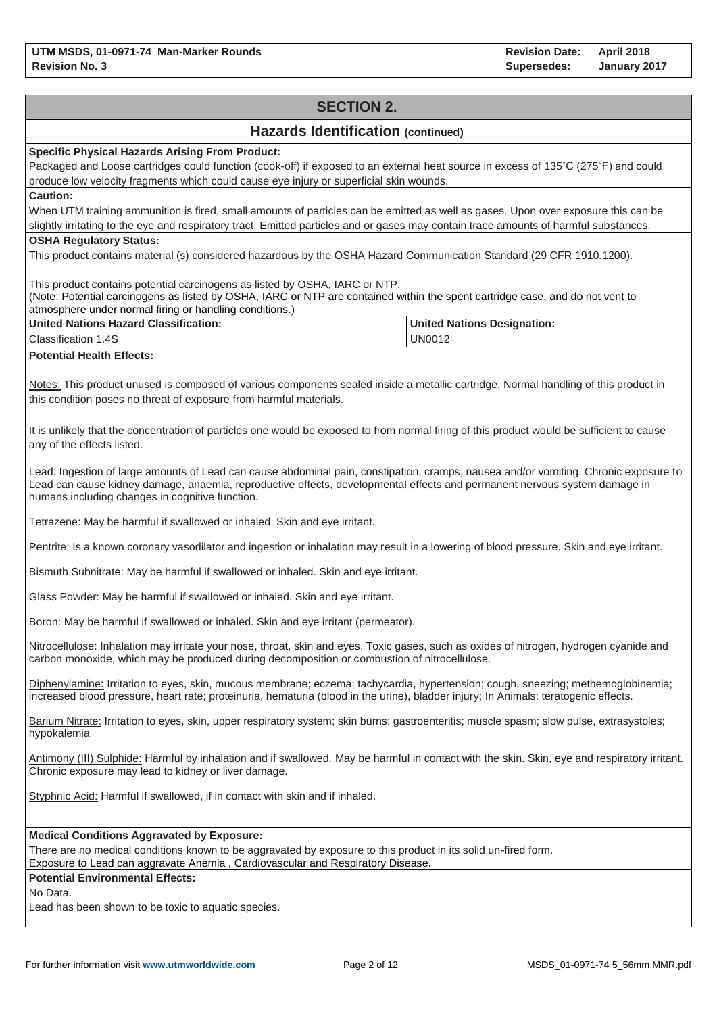# **SECTION 2. Hazards Identification (continued) Specific Physical Hazards Arising From Product:** Packaged and Loose cartridges could function (cook-off) if exposed to an external heat source in excess of 135˚C (275˚F) and could produce low velocity fragments which could cause eye injury or superficial skin wounds. **Caution:** When UTM training ammunition is fired, small amounts of particles can be emitted as well as gases. Upon over exposure this can be slightly irritating to the eye and respiratory tract. Emitted particles and or gases may contain trace amounts of harmful substances. **OSHA Regulatory Status:** This product contains material (s) considered hazardous by the OSHA Hazard Communication Standard (29 CFR 1910.1200). This product contains potential carcinogens as listed by OSHA, IARC or NTP. (Note: Potential carcinogens as listed by OSHA, IARC or NTP are contained within the spent cartridge case, and do not vent to atmosphere under normal firing or handling conditions.) **United Nations Hazard Classification:** Classification 1.4S **United Nations Designation:** UN0012 **Potential Health Effects:** Notes: This product unused is composed of various components sealed inside a metallic cartridge. Normal handling of this product in this condition poses no threat of exposure from harmful materials. It is unlikely that the concentration of particles one would be exposed to from normal firing of this product would be sufficient to cause any of the effects listed. Lead: Ingestion of large amounts of Lead can cause abdominal pain, constipation, cramps, nausea and/or vomiting. Chronic exposure to Lead can cause kidney damage, anaemia, reproductive effects, developmental effects and permanent nervous system damage in humans including changes in cognitive function. Tetrazene: May be harmful if swallowed or inhaled. Skin and eye irritant. Pentrite: Is a known coronary vasodilator and ingestion or inhalation may result in a lowering of blood pressure. Skin and eye irritant. Bismuth Subnitrate: May be harmful if swallowed or inhaled. Skin and eye irritant. Glass Powder: May be harmful if swallowed or inhaled. Skin and eye irritant. Boron: May be harmful if swallowed or inhaled. Skin and eye irritant (permeator). Nitrocellulose: Inhalation may irritate your nose, throat, skin and eyes. Toxic gases, such as oxides of nitrogen, hydrogen cyanide and carbon monoxide, which may be produced during decomposition or combustion of nitrocellulose. Diphenylamine: Irritation to eyes, skin, mucous membrane; eczema; tachycardia, hypertension; cough, sneezing; methemoglobinemia; increased blood pressure, heart rate; proteinuria, hematuria (blood in the urine), bladder injury; In Animals: teratogenic effects. Barium Nitrate: Irritation to eyes, skin, upper respiratory system; skin burns; gastroenteritis; muscle spasm; slow pulse, extrasystoles; hypokalemia Antimony (III) Sulphide: Harmful by inhalation and if swallowed. May be harmful in contact with the skin. Skin, eye and respiratory irritant. Chronic exposure may lead to kidney or liver damage. Styphnic Acid: Harmful if swallowed, if in contact with skin and if inhaled. **Medical Conditions Aggravated by Exposure:** There are no medical conditions known to be aggravated by exposure to this product in its solid un-fired form. Exposure to Lead can aggravate Anemia , Cardiovascular and Respiratory Disease. **Potential Environmental Effects:** No Data. Lead has been shown to be toxic to aquatic species.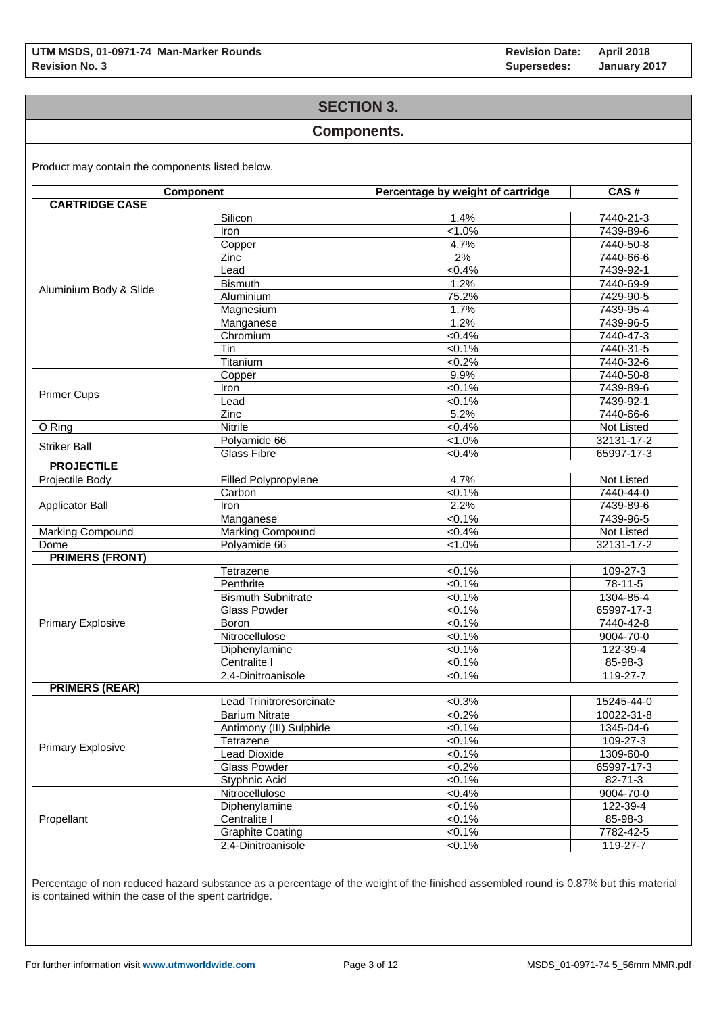### **SECTION 3.**

#### **Components.**

Product may contain the components listed below.

| Component                |                           | Percentage by weight of cartridge | CAS#              |
|--------------------------|---------------------------|-----------------------------------|-------------------|
| <b>CARTRIDGE CASE</b>    |                           |                                   |                   |
|                          | Silicon                   | 1.4%                              | 7440-21-3         |
|                          | Iron                      | $1.0\%$                           | 7439-89-6         |
|                          | Copper                    | 4.7%                              | 7440-50-8         |
|                          | Zinc                      | 2%                                | 7440-66-6         |
|                          | Lead                      | $< 0.4\%$                         | 7439-92-1         |
|                          | <b>Bismuth</b>            | 1.2%                              | 7440-69-9         |
| Aluminium Body & Slide   | Aluminium                 | 75.2%                             | 7429-90-5         |
|                          | Magnesium                 | 1.7%                              | 7439-95-4         |
|                          | Manganese                 | 1.2%                              | $7439 - 96 - 5$   |
|                          | Chromium                  | $< 0.4\%$                         | 7440-47-3         |
|                          | Tin                       | $< 0.1\%$                         | 7440-31-5         |
|                          | Titanium                  | $<0.2\%$                          | 7440-32-6         |
|                          | Copper                    | 9.9%                              | 7440-50-8         |
|                          | Iron                      | $< 0.1\%$                         | 7439-89-6         |
| <b>Primer Cups</b>       | Lead                      | 50.1%                             | 7439-92-1         |
|                          | Zinc                      | 5.2%                              | 7440-66-6         |
| O Ring                   | <b>Nitrile</b>            | $< 0.4\%$                         | Not Listed        |
|                          | Polyamide 66              | $1.0\%$                           | 32131-17-2        |
| <b>Striker Ball</b>      | <b>Glass Fibre</b>        | $< 0.4\%$                         | 65997-17-3        |
| <b>PROJECTILE</b>        |                           |                                   |                   |
| Projectile Body          | Filled Polypropylene      | 4.7%                              | <b>Not Listed</b> |
|                          | Carbon                    | $< 0.1\%$                         | 7440-44-0         |
| <b>Applicator Ball</b>   | Iron                      | 2.2%                              | 7439-89-6         |
|                          | Manganese                 | $< 0.1\%$                         | 7439-96-5         |
| Marking Compound         | Marking Compound          | <0.4%                             | Not Listed        |
| Dome                     | Polyamide 66              | $< 1.0\%$                         | 32131-17-2        |
| <b>PRIMERS (FRONT)</b>   |                           |                                   |                   |
|                          | Tetrazene                 | $< 0.1\%$                         | 109-27-3          |
|                          | Penthrite                 | 50.1%                             | 78-11-5           |
|                          | <b>Bismuth Subnitrate</b> | $< 0.1\%$                         | 1304-85-4         |
|                          | <b>Glass Powder</b>       | $< 0.1\%$                         | 65997-17-3        |
| <b>Primary Explosive</b> | Boron                     | $< 0.1\%$                         | 7440-42-8         |
|                          | Nitrocellulose            | 50.1%                             | 9004-70-0         |
|                          | Diphenylamine             | $< 0.1\%$                         | 122-39-4          |
|                          | Centralite I              | $< 0.1\%$                         | $85 - 98 - 3$     |
|                          | 2,4-Dinitroanisole        | $< 0.1\%$                         | 119-27-7          |
| <b>PRIMERS (REAR)</b>    |                           |                                   |                   |
|                          | Lead Trinitroresorcinate  | $<0.3\%$                          | 15245-44-0        |
|                          | <b>Barium Nitrate</b>     | $<0.2\%$                          | 10022-31-8        |
|                          | Antimony (III) Sulphide   | $< 0.1\%$                         | 1345-04-6         |
|                          |                           | $<0.1\%$                          | 109-27-3          |
| <b>Primary Explosive</b> | Tetrazene                 |                                   |                   |
|                          | Lead Dioxide              | $< 0.1\%$                         | 1309-60-0         |
|                          | <b>Glass Powder</b>       | $<0.2\%$                          | 65997-17-3        |
|                          | Styphnic Acid             | $< 0.1\%$                         | $82 - 71 - 3$     |
|                          | Nitrocellulose            | $< 0.4\%$                         | 9004-70-0         |
|                          | Diphenylamine             | $< 0.1\%$                         | 122-39-4          |
| Propellant               | Centralite I              | $< 0.1\%$                         | 85-98-3           |
|                          | <b>Graphite Coating</b>   | $< 0.1\%$                         | 7782-42-5         |
|                          | 2,4-Dinitroanisole        | $< 0.1\%$                         | 119-27-7          |

Percentage of non reduced hazard substance as a percentage of the weight of the finished assembled round is 0.87% but this material is contained within the case of the spent cartridge.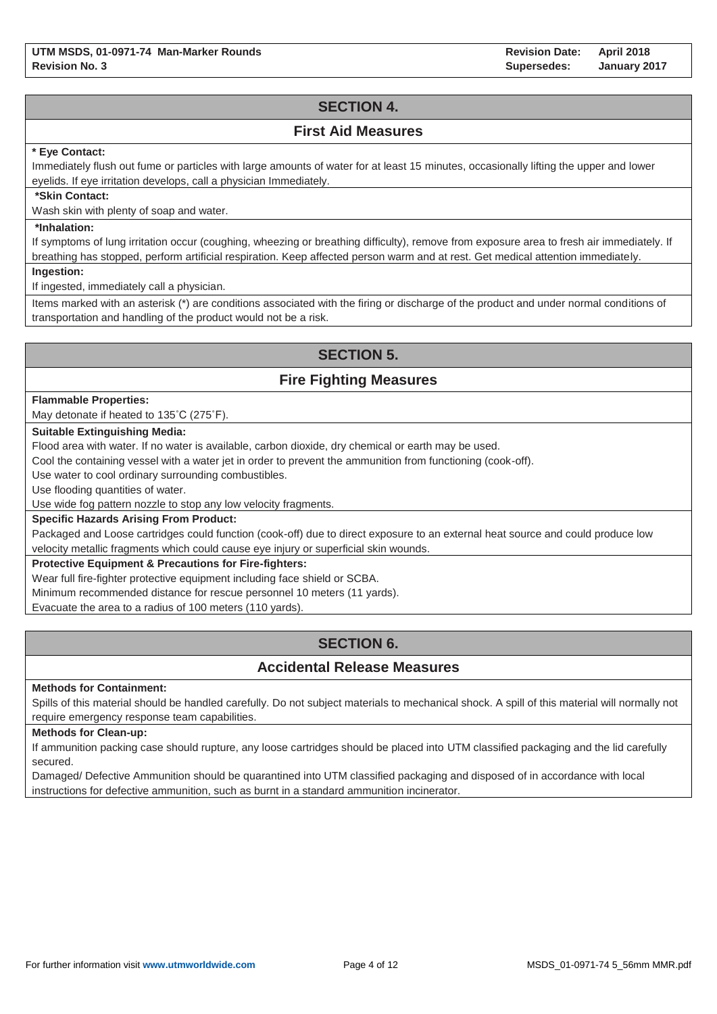**Revision Date: Supersedes: April 2018 January 2017**

# **SECTION 4.**

### **First Aid Measures**

#### **\* Eye Contact:**

Immediately flush out fume or particles with large amounts of water for at least 15 minutes, occasionally lifting the upper and lower eyelids. If eye irritation develops, call a physician Immediately.

#### **\*Skin Contact:**

Wash skin with plenty of soap and water.

#### **\*Inhalation:**

If symptoms of lung irritation occur (coughing, wheezing or breathing difficulty), remove from exposure area to fresh air immediately. If breathing has stopped, perform artificial respiration. Keep affected person warm and at rest. Get medical attention immediately.

**Ingestion:**

If ingested, immediately call a physician.

Items marked with an asterisk (\*) are conditions associated with the firing or discharge of the product and under normal conditions of transportation and handling of the product would not be a risk.

# **SECTION 5.**

# **Fire Fighting Measures**

#### **Flammable Properties:**

May detonate if heated to 135˚C (275˚F).

#### **Suitable Extinguishing Media:**

Flood area with water. If no water is available, carbon dioxide, dry chemical or earth may be used.

Cool the containing vessel with a water jet in order to prevent the ammunition from functioning (cook-off).

Use water to cool ordinary surrounding combustibles.

Use flooding quantities of water.

Use wide fog pattern nozzle to stop any low velocity fragments.

#### **Specific Hazards Arising From Product:**

Packaged and Loose cartridges could function (cook-off) due to direct exposure to an external heat source and could produce low velocity metallic fragments which could cause eye injury or superficial skin wounds.

#### **Protective Equipment & Precautions for Fire-fighters:**

Wear full fire-fighter protective equipment including face shield or SCBA.

Minimum recommended distance for rescue personnel 10 meters (11 yards).

Evacuate the area to a radius of 100 meters (110 yards).

# **SECTION 6.**

# **Accidental Release Measures**

#### **Methods for Containment:**

Spills of this material should be handled carefully. Do not subject materials to mechanical shock. A spill of this material will normally not require emergency response team capabilities.

#### **Methods for Clean-up:**

If ammunition packing case should rupture, any loose cartridges should be placed into UTM classified packaging and the lid carefully secured.

Damaged/ Defective Ammunition should be quarantined into UTM classified packaging and disposed of in accordance with local instructions for defective ammunition, such as burnt in a standard ammunition incinerator.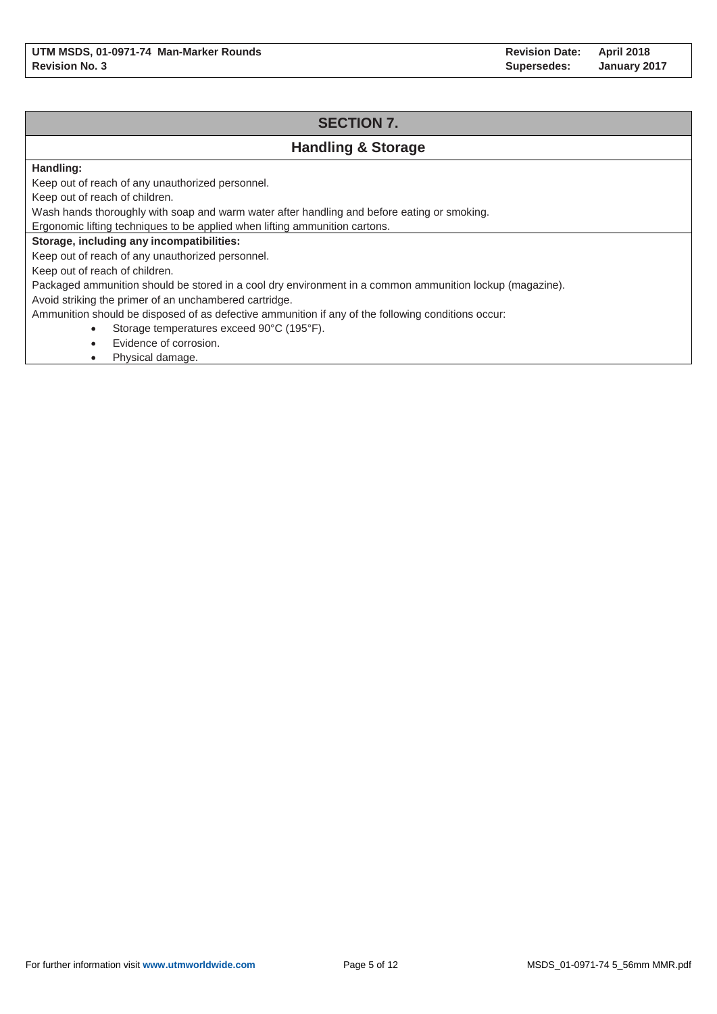# **SECTION 7. Handling & Storage** Keep out of reach of any unauthorized personnel. Keep out of reach of children.

Wash hands thoroughly with soap and warm water after handling and before eating or smoking.

Ergonomic lifting techniques to be applied when lifting ammunition cartons.

#### **Storage, including any incompatibilities:**

Keep out of reach of any unauthorized personnel.

Keep out of reach of children.

**Handling:**

Packaged ammunition should be stored in a cool dry environment in a common ammunition lockup (magazine).

Avoid striking the primer of an unchambered cartridge.

Ammunition should be disposed of as defective ammunition if any of the following conditions occur:

- Storage temperatures exceed 90°C (195°F).
- Evidence of corrosion.
- Physical damage.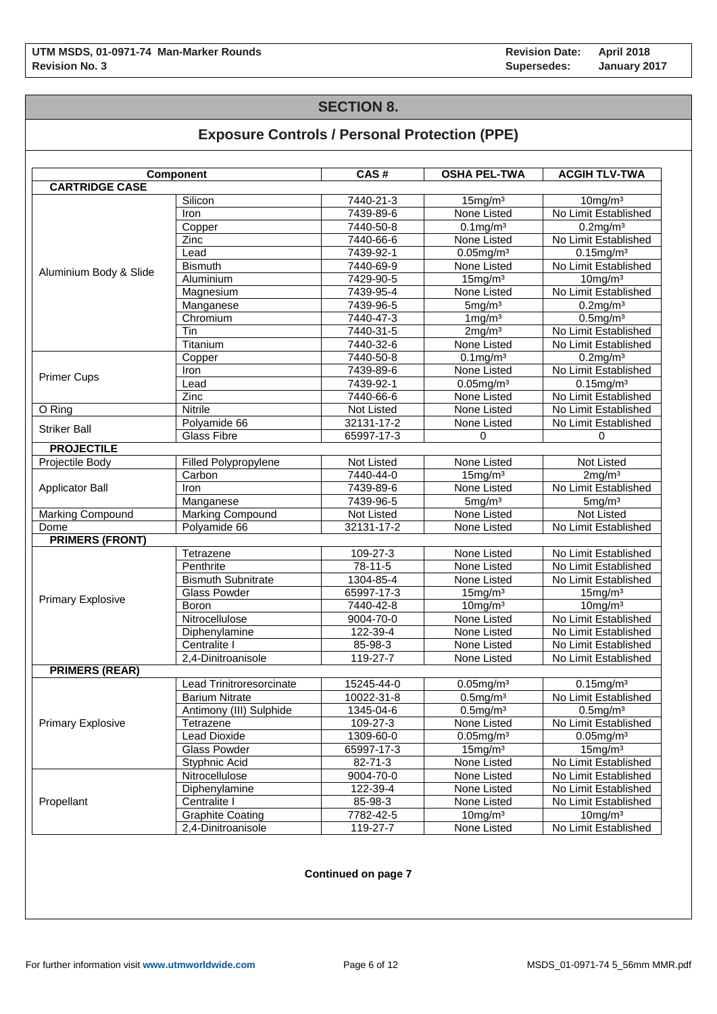# **SECTION 8.**

# **Exposure Controls / Personal Protection (PPE)**

|                          | Component                 | CAS#       | <b>OSHA PEL-TWA</b>      | <b>ACGIH TLV-TWA</b> |
|--------------------------|---------------------------|------------|--------------------------|----------------------|
| <b>CARTRIDGE CASE</b>    |                           |            |                          |                      |
|                          | Silicon                   | 7440-21-3  | 15mg/m <sup>3</sup>      | $10$ mg/m $3$        |
|                          | Iron                      | 7439-89-6  | None Listed              | No Limit Established |
|                          | Copper                    | 7440-50-8  | $0.1$ mg/m $3$           | $0.2$ mg/m $3$       |
|                          | Zinc                      | 7440-66-6  | None Listed              | No Limit Established |
|                          | Lead                      | 7439-92-1  | $0.05$ mg/m $3$          | $0.15$ mg/m $3$      |
|                          | <b>Bismuth</b>            | 7440-69-9  | None Listed              | No Limit Established |
| Aluminium Body & Slide   | Aluminium                 | 7429-90-5  | 15mg/m <sup>3</sup>      | $10$ mg/m $3$        |
|                          | Magnesium                 | 7439-95-4  | None Listed              | No Limit Established |
|                          | Manganese                 | 7439-96-5  | 5mg/m <sup>3</sup>       | 0.2mg/m <sup>3</sup> |
|                          | Chromium                  | 7440-47-3  | $1 \,\mathrm{mg/m^3}$    | $0.5$ mg/m $3$       |
|                          | Tin                       | 7440-31-5  | 2mg/m <sup>3</sup>       | No Limit Established |
|                          | Titanium                  | 7440-32-6  | None Listed              | No Limit Established |
|                          | Copper                    | 7440-50-8  | $0.1$ mg/m $3$           | $0.2$ mg/m $3$       |
|                          | Iron                      | 7439-89-6  | None Listed              | No Limit Established |
| <b>Primer Cups</b>       | Lead                      | 7439-92-1  | $0.05$ mg/m $3$          | $0.15$ mg/m $3$      |
|                          | $\overline{Z}$ inc        | 7440-66-6  | None Listed              | No Limit Established |
| O Ring                   | Nitrile                   | Not Listed | None Listed              | No Limit Established |
|                          | Polyamide 66              | 32131-17-2 | None Listed              | No Limit Established |
| <b>Striker Ball</b>      | <b>Glass Fibre</b>        | 65997-17-3 | 0                        | 0                    |
| <b>PROJECTILE</b>        |                           |            |                          |                      |
| Projectile Body          | Filled Polypropylene      | Not Listed | None Listed              | Not Listed           |
|                          | Carbon                    | 7440-44-0  | $15$ mg/m $3$            | 2mg/m <sup>3</sup>   |
| <b>Applicator Ball</b>   | <b>Iron</b>               | 7439-89-6  | None Listed              | No Limit Established |
|                          | Manganese                 | 7439-96-5  | 5mg/m <sup>3</sup>       | 5mg/m <sup>3</sup>   |
| <b>Marking Compound</b>  | Marking Compound          | Not Listed | None Listed              | Not Listed           |
| Dome                     | Polyamide 66              | 32131-17-2 | None Listed              | No Limit Established |
| <b>PRIMERS (FRONT)</b>   |                           |            |                          |                      |
|                          | Tetrazene                 | 109-27-3   | None Listed              | No Limit Established |
|                          | Penthrite                 | 78-11-5    | None Listed              | No Limit Established |
|                          | <b>Bismuth Subnitrate</b> | 1304-85-4  | None Listed              | No Limit Established |
|                          | <b>Glass Powder</b>       | 65997-17-3 | $15$ mg/m $3$            | 15mg/m <sup>3</sup>  |
| <b>Primary Explosive</b> | <b>Boron</b>              | 7440-42-8  | 10mg/m <sup>3</sup>      | 10mg/m <sup>3</sup>  |
|                          | Nitrocellulose            | 9004-70-0  | None Listed              | No Limit Established |
|                          | Diphenylamine             | 122-39-4   | None Listed              | No Limit Established |
|                          | Centralite I              | 85-98-3    | None Listed              | No Limit Established |
|                          | 2,4-Dinitroanisole        | 119-27-7   | None Listed              | No Limit Established |
| <b>PRIMERS (REAR)</b>    |                           |            |                          |                      |
|                          | Lead Trinitroresorcinate  | 15245-44-0 | $0.05$ mg/m <sup>3</sup> | $0.15$ mg/m $3$      |
|                          | <b>Barium Nitrate</b>     | 10022-31-8 | $0.5$ mg/m $3$           | No Limit Established |
|                          | Antimony (III) Sulphide   | 1345-04-6  | $0.5$ mg/m $3$           | $0.5$ mg/m $3$       |
| <b>Primary Explosive</b> | Tetrazene                 | 109-27-3   | None Listed              | No Limit Established |
|                          | <b>Lead Dioxide</b>       | 1309-60-0  | $0.05$ mg/m $3$          | $0.05$ mg/m $3$      |
|                          | <b>Glass Powder</b>       | 65997-17-3 | 15mg/m <sup>3</sup>      | 15mg/m <sup>3</sup>  |
|                          | Styphnic Acid             | 82-71-3    | None Listed              | No Limit Established |
|                          | Nitrocellulose            | 9004-70-0  | None Listed              | No Limit Established |
|                          | Diphenylamine             | 122-39-4   | None Listed              | No Limit Established |
| Propellant               | Centralite I              | 85-98-3    | None Listed              | No Limit Established |
|                          | <b>Graphite Coating</b>   | 7782-42-5  | $10$ mg/m $3$            | $10$ mg/m $3$        |
|                          | 2,4-Dinitroanisole        | 119-27-7   | None Listed              | No Limit Established |

#### **Continued on page 7**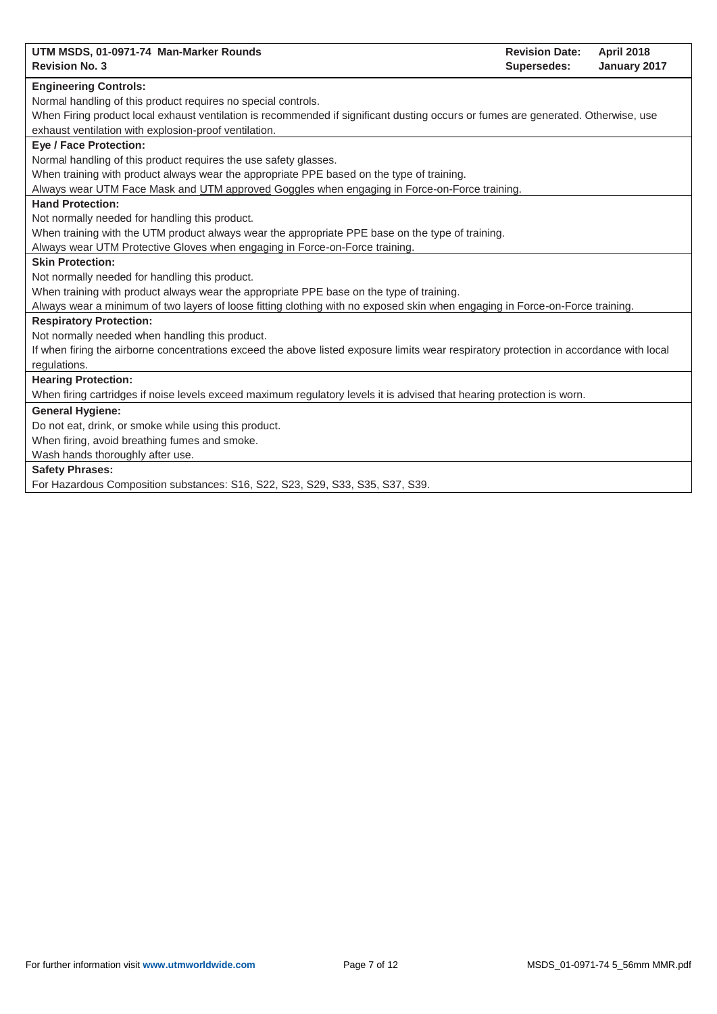| UTM MSDS, 01-0971-74 Man-Marker Rounds<br><b>Revision Date:</b><br><b>April 2018</b>                                                    |  |
|-----------------------------------------------------------------------------------------------------------------------------------------|--|
| <b>Revision No. 3</b><br>Supersedes:<br>January 2017                                                                                    |  |
| <b>Engineering Controls:</b>                                                                                                            |  |
| Normal handling of this product requires no special controls.                                                                           |  |
| When Firing product local exhaust ventilation is recommended if significant dusting occurs or fumes are generated. Otherwise, use       |  |
| exhaust ventilation with explosion-proof ventilation.                                                                                   |  |
| <b>Eye / Face Protection:</b>                                                                                                           |  |
| Normal handling of this product requires the use safety glasses.                                                                        |  |
| When training with product always wear the appropriate PPE based on the type of training.                                               |  |
| Always wear UTM Face Mask and UTM approved Goggles when engaging in Force-on-Force training.                                            |  |
| <b>Hand Protection:</b>                                                                                                                 |  |
| Not normally needed for handling this product.                                                                                          |  |
| When training with the UTM product always wear the appropriate PPE base on the type of training.                                        |  |
| Always wear UTM Protective Gloves when engaging in Force-on-Force training.                                                             |  |
| <b>Skin Protection:</b>                                                                                                                 |  |
| Not normally needed for handling this product.                                                                                          |  |
| When training with product always wear the appropriate PPE base on the type of training.                                                |  |
| Always wear a minimum of two layers of loose fitting clothing with no exposed skin when engaging in Force-on-Force training.            |  |
| <b>Respiratory Protection:</b>                                                                                                          |  |
| Not normally needed when handling this product.                                                                                         |  |
| If when firing the airborne concentrations exceed the above listed exposure limits wear respiratory protection in accordance with local |  |
| regulations.                                                                                                                            |  |
| <b>Hearing Protection:</b>                                                                                                              |  |
| When firing cartridges if noise levels exceed maximum regulatory levels it is advised that hearing protection is worn.                  |  |
| <b>General Hygiene:</b>                                                                                                                 |  |
| Do not eat, drink, or smoke while using this product.                                                                                   |  |
| When firing, avoid breathing fumes and smoke.                                                                                           |  |
| Wash hands thoroughly after use.                                                                                                        |  |
| <b>Safety Phrases:</b>                                                                                                                  |  |
| For Hazardous Composition substances: S16, S22, S23, S29, S33, S35, S37, S39.                                                           |  |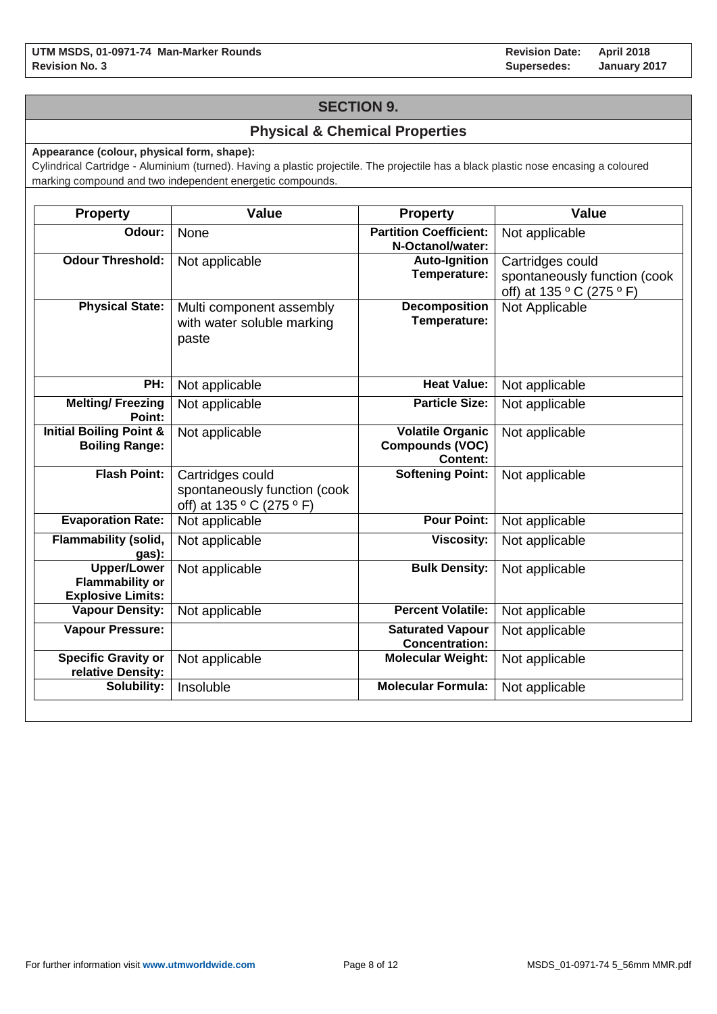# **SECTION 9.**

# **Physical & Chemical Properties**

**Appearance (colour, physical form, shape):**

Cylindrical Cartridge - Aluminium (turned). Having a plastic projectile. The projectile has a black plastic nose encasing a coloured marking compound and two independent energetic compounds.

| <b>Property</b>                                                          | <b>Value</b>                                                                  | <b>Property</b>                                                      | <b>Value</b>                                                                  |
|--------------------------------------------------------------------------|-------------------------------------------------------------------------------|----------------------------------------------------------------------|-------------------------------------------------------------------------------|
| Odour:                                                                   | None                                                                          | <b>Partition Coefficient:</b><br>N-Octanol/water:                    | Not applicable                                                                |
| <b>Odour Threshold:</b>                                                  | Not applicable                                                                | <b>Auto-Ignition</b><br>Temperature:                                 | Cartridges could<br>spontaneously function (cook<br>off) at 135 ° C (275 ° F) |
| <b>Physical State:</b>                                                   | Multi component assembly<br>with water soluble marking<br>paste               | <b>Decomposition</b><br>Temperature:                                 | Not Applicable                                                                |
| PH:                                                                      | Not applicable                                                                | <b>Heat Value:</b>                                                   | Not applicable                                                                |
| <b>Melting/Freezing</b><br>Point:                                        | Not applicable                                                                | <b>Particle Size:</b>                                                | Not applicable                                                                |
| <b>Initial Boiling Point &amp;</b><br><b>Boiling Range:</b>              | Not applicable                                                                | <b>Volatile Organic</b><br><b>Compounds (VOC)</b><br><b>Content:</b> | Not applicable                                                                |
| <b>Flash Point:</b>                                                      | Cartridges could<br>spontaneously function (cook<br>off) at 135 ° C (275 ° F) | <b>Softening Point:</b>                                              | Not applicable                                                                |
| <b>Evaporation Rate:</b>                                                 | Not applicable                                                                | <b>Pour Point:</b>                                                   | Not applicable                                                                |
| <b>Flammability (solid,</b><br>gas):                                     | Not applicable                                                                | <b>Viscosity:</b>                                                    | Not applicable                                                                |
| <b>Upper/Lower</b><br><b>Flammability or</b><br><b>Explosive Limits:</b> | Not applicable                                                                | <b>Bulk Density:</b>                                                 | Not applicable                                                                |
| <b>Vapour Density:</b>                                                   | Not applicable                                                                | <b>Percent Volatile:</b>                                             | Not applicable                                                                |
| <b>Vapour Pressure:</b>                                                  |                                                                               | <b>Saturated Vapour</b><br><b>Concentration:</b>                     | Not applicable                                                                |
| <b>Specific Gravity or</b><br>relative Density:                          | Not applicable                                                                | <b>Molecular Weight:</b>                                             | Not applicable                                                                |
| Solubility:                                                              | Insoluble                                                                     | <b>Molecular Formula:</b>                                            | Not applicable                                                                |
|                                                                          |                                                                               |                                                                      |                                                                               |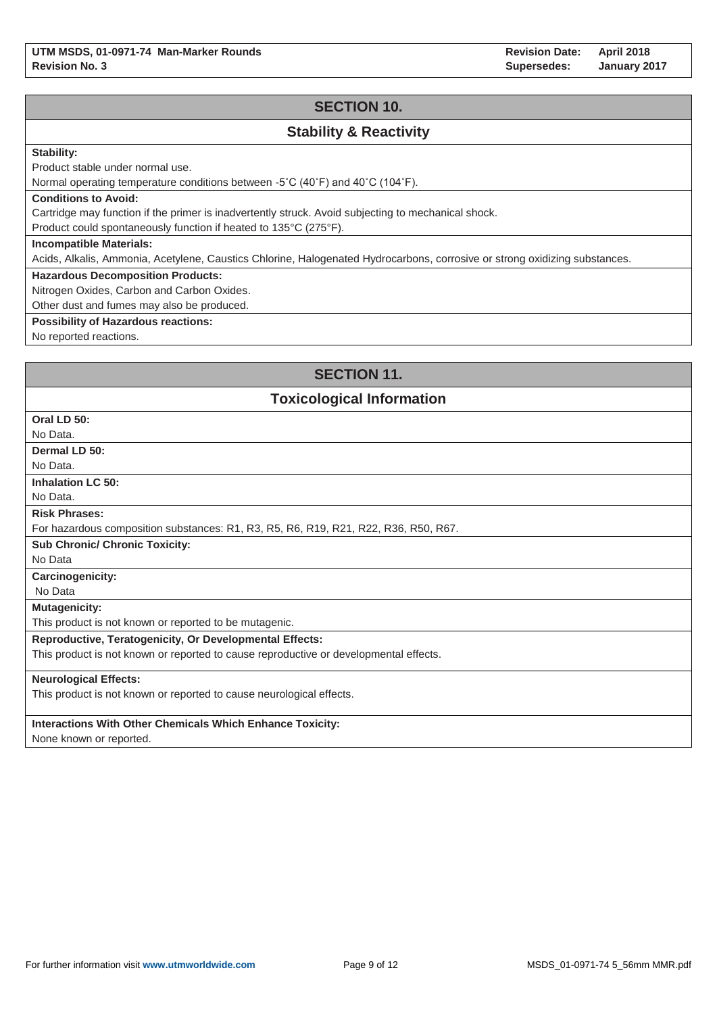**Revision Date: Supersedes: April 2018 January 2017**

# **SECTION 10.**

# **Stability & Reactivity**

### **Stability:**

Product stable under normal use.

Normal operating temperature conditions between -5˚C (40˚F) and 40˚C (104˚F).

#### **Conditions to Avoid:**

Cartridge may function if the primer is inadvertently struck. Avoid subjecting to mechanical shock.

Product could spontaneously function if heated to 135°C (275°F).

#### **Incompatible Materials:**

Acids, Alkalis, Ammonia, Acetylene, Caustics Chlorine, Halogenated Hydrocarbons, corrosive or strong oxidizing substances.

#### **Hazardous Decomposition Products:**

Nitrogen Oxides, Carbon and Carbon Oxides.

Other dust and fumes may also be produced.

#### **Possibility of Hazardous reactions:**

No reported reactions.

# **SECTION 11.**

### **Toxicological Information**

| Oral LD 50:                                                                           |
|---------------------------------------------------------------------------------------|
| No Data.                                                                              |
| Dermal LD 50:                                                                         |
| No Data.                                                                              |
| <b>Inhalation LC 50:</b>                                                              |
| No Data.                                                                              |
| <b>Risk Phrases:</b>                                                                  |
| For hazardous composition substances: R1, R3, R5, R6, R19, R21, R22, R36, R50, R67.   |
| <b>Sub Chronic/ Chronic Toxicity:</b>                                                 |
| No Data                                                                               |
| <b>Carcinogenicity:</b>                                                               |
| No Data                                                                               |
| <b>Mutagenicity:</b>                                                                  |
| This product is not known or reported to be mutagenic.                                |
| <b>Reproductive, Teratogenicity, Or Developmental Effects:</b>                        |
| This product is not known or reported to cause reproductive or developmental effects. |
| <b>Neurological Effects:</b>                                                          |
| This product is not known or reported to cause neurological effects.                  |
|                                                                                       |
| <b>Interactions With Other Chemicals Which Enhance Toxicity:</b>                      |
| $\blacksquare$                                                                        |

None known or reported.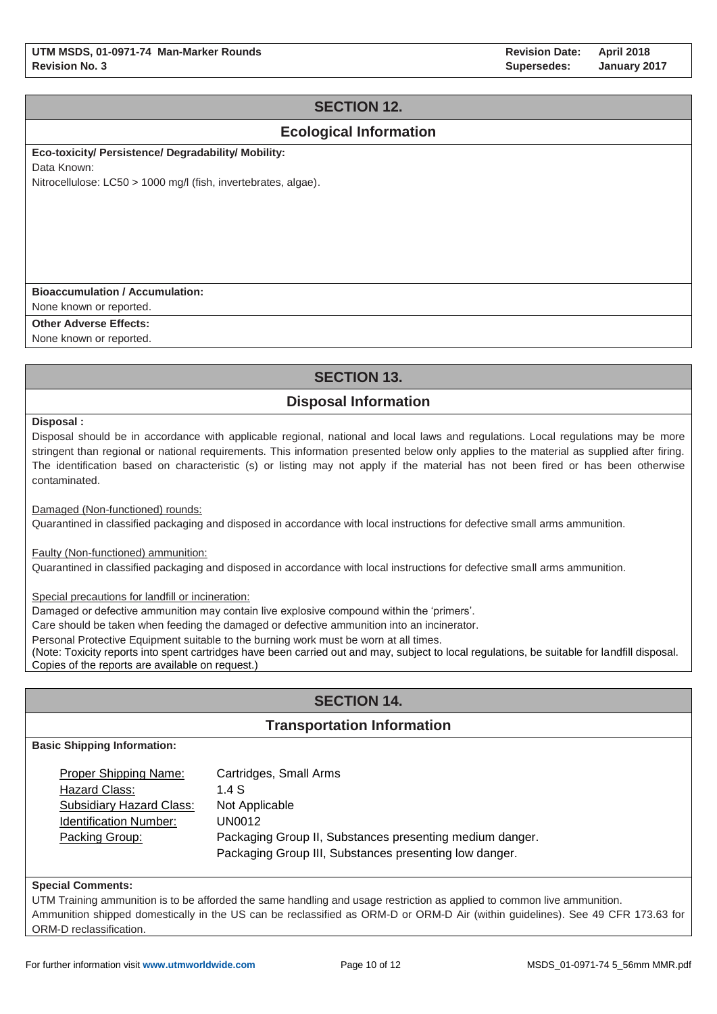# **SECTION 12.**

# **Ecological Information**

**Eco-toxicity/ Persistence/ Degradability/ Mobility:** 

Data Known:

Nitrocellulose: LC50 > 1000 mg/l (fish, invertebrates, algae).

#### **Bioaccumulation / Accumulation:**

None known or reported.

**Other Adverse Effects:**

None known or reported.

# **SECTION 13.**

# **Disposal Information**

**Disposal :**

Disposal should be in accordance with applicable regional, national and local laws and regulations. Local regulations may be more stringent than regional or national requirements. This information presented below only applies to the material as supplied after firing. The identification based on characteristic (s) or listing may not apply if the material has not been fired or has been otherwise contaminated.

Damaged (Non-functioned) rounds:

Quarantined in classified packaging and disposed in accordance with local instructions for defective small arms ammunition.

Faulty (Non-functioned) ammunition:

Quarantined in classified packaging and disposed in accordance with local instructions for defective small arms ammunition.

Special precautions for landfill or incineration:

Damaged or defective ammunition may contain live explosive compound within the 'primers'.

Care should be taken when feeding the damaged or defective ammunition into an incinerator.

Personal Protective Equipment suitable to the burning work must be worn at all times.

(Note: Toxicity reports into spent cartridges have been carried out and may, subject to local regulations, be suitable for landfill disposal. Copies of the reports are available on request.)

# **SECTION 14.**

### **Transportation Information**

**Basic Shipping Information:**

| Proper Shipping Name:    | Cartridges, Small Arms                                   |
|--------------------------|----------------------------------------------------------|
| Hazard Class:            | 1.4S                                                     |
| Subsidiary Hazard Class: | Not Applicable                                           |
| Identification Number:   | UN0012                                                   |
| Packing Group:           | Packaging Group II, Substances presenting medium danger. |
|                          | Packaging Group III, Substances presenting low danger.   |

#### **Special Comments:**

UTM Training ammunition is to be afforded the same handling and usage restriction as applied to common live ammunition. Ammunition shipped domestically in the US can be reclassified as ORM-D or ORM-D Air (within guidelines). See 49 CFR 173.63 for ORM-D reclassification.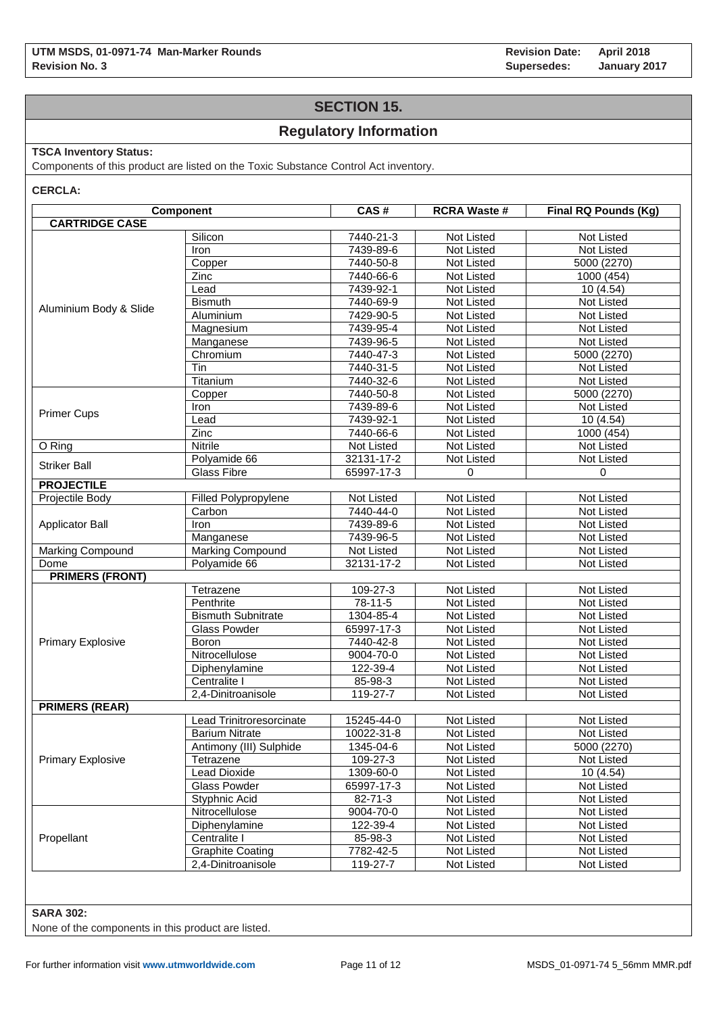**Revision Date: Supersedes: April 2018 January 2017**

# **SECTION 15.**

# **Regulatory Information**

### **TSCA Inventory Status:**

Components of this product are listed on the Toxic Substance Control Act inventory.

**CERCLA:**

|                          | Component                 | CAS#       | <b>RCRA Waste #</b> | Final RQ Pounds (Kg) |  |
|--------------------------|---------------------------|------------|---------------------|----------------------|--|
| <b>CARTRIDGE CASE</b>    |                           |            |                     |                      |  |
|                          | Silicon                   | 7440-21-3  | Not Listed          | Not Listed           |  |
|                          | Iron                      | 7439-89-6  | Not Listed          | Not Listed           |  |
|                          | Copper                    | 7440-50-8  | Not Listed          | 5000 (2270)          |  |
|                          | Zinc                      | 7440-66-6  | Not Listed          | 1000 (454)           |  |
|                          | Lead                      | 7439-92-1  | Not Listed          | 10(4.54)             |  |
| Aluminium Body & Slide   | <b>Bismuth</b>            | 7440-69-9  | Not Listed          | Not Listed           |  |
|                          | Aluminium                 | 7429-90-5  | Not Listed          | Not Listed           |  |
|                          | Magnesium                 | 7439-95-4  | Not Listed          | Not Listed           |  |
|                          | Manganese                 | 7439-96-5  | Not Listed          | Not Listed           |  |
|                          | Chromium                  | 7440-47-3  | Not Listed          | 5000 (2270)          |  |
|                          | Tin                       | 7440-31-5  | Not Listed          | Not Listed           |  |
|                          | Titanium                  | 7440-32-6  | Not Listed          | Not Listed           |  |
|                          | Copper                    | 7440-50-8  | Not Listed          | 5000 (2270)          |  |
|                          | Iron                      | 7439-89-6  | Not Listed          | Not Listed           |  |
| <b>Primer Cups</b>       | Lead                      | 7439-92-1  | Not Listed          | 10 (4.54)            |  |
|                          | Zinc                      | 7440-66-6  | Not Listed          | 1000 (454)           |  |
| O Ring                   | <b>Nitrile</b>            | Not Listed | Not Listed          | Not Listed           |  |
|                          | Polyamide 66              | 32131-17-2 | Not Listed          | Not Listed           |  |
| <b>Striker Ball</b>      | <b>Glass Fibre</b>        | 65997-17-3 | 0                   | 0                    |  |
| <b>PROJECTILE</b>        |                           |            |                     |                      |  |
| Projectile Body          | Filled Polypropylene      | Not Listed | Not Listed          | Not Listed           |  |
|                          | Carbon                    | 7440-44-0  | <b>Not Listed</b>   | <b>Not Listed</b>    |  |
| <b>Applicator Ball</b>   | Iron                      | 7439-89-6  | Not Listed          | <b>Not Listed</b>    |  |
|                          | Manganese                 | 7439-96-5  | Not Listed          | Not Listed           |  |
| Marking Compound         | Marking Compound          | Not Listed | Not Listed          | Not Listed           |  |
| Dome                     | Polyamide 66              | 32131-17-2 | Not Listed          | Not Listed           |  |
| <b>PRIMERS (FRONT)</b>   |                           |            |                     |                      |  |
|                          | Tetrazene                 | 109-27-3   | Not Listed          | Not Listed           |  |
|                          | Penthrite                 | 78-11-5    | Not Listed          | Not Listed           |  |
|                          | <b>Bismuth Subnitrate</b> | 1304-85-4  | Not Listed          | Not Listed           |  |
|                          | <b>Glass Powder</b>       | 65997-17-3 | Not Listed          | Not Listed           |  |
| <b>Primary Explosive</b> | Boron                     | 7440-42-8  | Not Listed          | Not Listed           |  |
|                          | Nitrocellulose            | 9004-70-0  | Not Listed          | Not Listed           |  |
|                          | Diphenylamine             | 122-39-4   | Not Listed          | Not Listed           |  |
|                          | Centralite I              | 85-98-3    | Not Listed          | Not Listed           |  |
|                          | 2,4-Dinitroanisole        | 119-27-7   | Not Listed          | Not Listed           |  |
| <b>PRIMERS (REAR)</b>    |                           |            |                     |                      |  |
|                          | Lead Trinitroresorcinate  | 15245-44-0 | Not Listed          | Not Listed           |  |
|                          | <b>Barium Nitrate</b>     | 10022-31-8 | Not Listed          | Not Listed           |  |
|                          | Antimony (III) Sulphide   | 1345-04-6  | Not Listed          | 5000 (2270)          |  |
| <b>Primary Explosive</b> | Tetrazene                 | 109-27-3   | Not Listed          | Not Listed           |  |
|                          | Lead Dioxide              | 1309-60-0  | Not Listed          | 10(4.54)             |  |
|                          | <b>Glass Powder</b>       | 65997-17-3 | Not Listed          | Not Listed           |  |
|                          | Styphnic Acid             | 82-71-3    | Not Listed          | Not Listed           |  |
|                          | Nitrocellulose            | 9004-70-0  | Not Listed          | Not Listed           |  |
|                          | Diphenylamine             | 122-39-4   | Not Listed          | Not Listed           |  |
| Propellant               | Centralite I              | 85-98-3    | Not Listed          | Not Listed           |  |
|                          | <b>Graphite Coating</b>   | 7782-42-5  | Not Listed          | Not Listed           |  |
|                          | 2,4-Dinitroanisole        | 119-27-7   | Not Listed          | Not Listed           |  |
|                          |                           |            |                     |                      |  |

#### **SARA 302:**

None of the components in this product are listed.